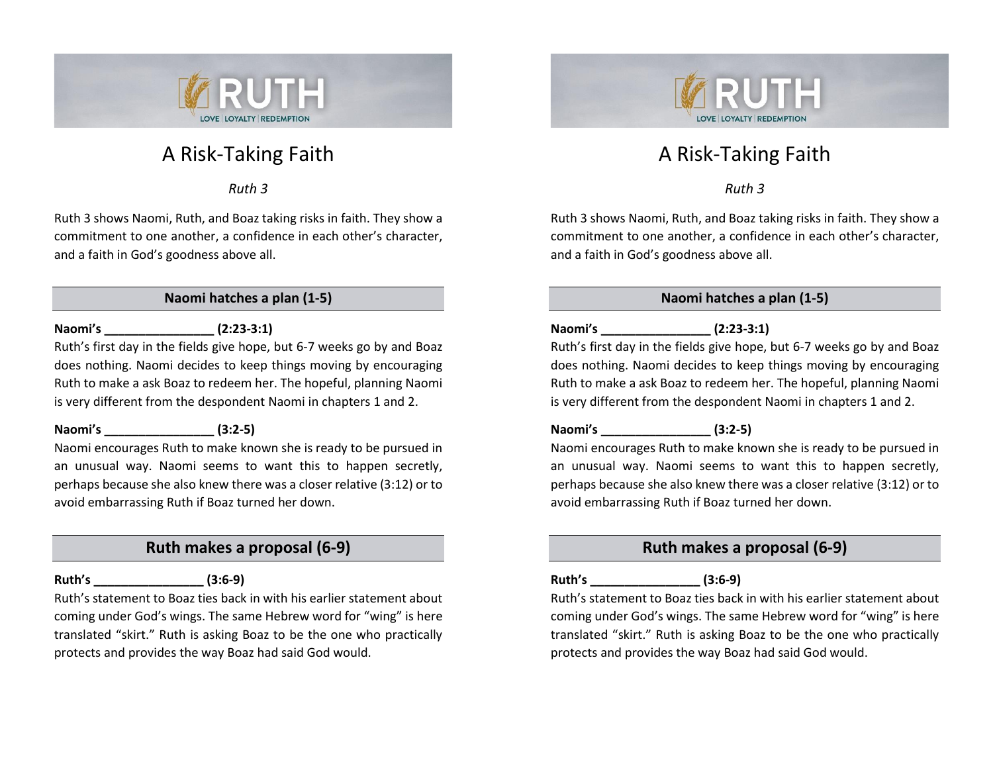

# A Risk-Taking Faith

*Ruth 3*

Ruth 3 shows Naomi, Ruth, and Boaz taking risks in faith. They show a commitment to one another, a confidence in each other's character, and a faith in God's goodness above all.

# **Naomi hatches a plan (1-5)**

# **Naomi's \_\_\_\_\_\_\_\_\_\_\_\_\_\_\_\_ (2:23-3:1)**

Ruth's first day in the fields give hope, but 6-7 weeks go by and Boaz does nothing. Naomi decides to keep things moving by encouraging Ruth to make a ask Boaz to redeem her. The hopeful, planning Naomi is very different from the despondent Naomi in chapters 1 and 2.

## **Naomi's \_\_\_\_\_\_\_\_\_\_\_\_\_\_\_\_ (3:2-5)**

Naomi encourages Ruth to make known she is ready to be pursued in an unusual way. Naomi seems to want this to happen secretly, perhaps because she also knew there was a closer relative (3:12) or to avoid embarrassing Ruth if Boaz turned her down.

# **Ruth makes a proposal (6-9)**

**Ruth's \_\_\_\_\_\_\_\_\_\_\_\_\_\_\_\_ (3:6-9)**

Ruth's statement to Boaz ties back in with his earlier statement about coming under God's wings. The same Hebrew word for "wing" is here translated "skirt." Ruth is asking Boaz to be the one who practically protects and provides the way Boaz had said God would.



# A Risk-Taking Faith

*Ruth 3*

Ruth 3 shows Naomi, Ruth, and Boaz taking risks in faith. They show a commitment to one another, a confidence in each other's character, and a faith in God's goodness above all.

# **Naomi hatches a plan (1-5)**

# **Naomi's \_\_\_\_\_\_\_\_\_\_\_\_\_\_\_\_ (2:23-3:1)**

Ruth's first day in the fields give hope, but 6-7 weeks go by and Boaz does nothing. Naomi decides to keep things moving by encouraging Ruth to make a ask Boaz to redeem her. The hopeful, planning Naomi is very different from the despondent Naomi in chapters 1 and 2.

## **Naomi's \_\_\_\_\_\_\_\_\_\_\_\_\_\_\_\_ (3:2-5)**

Naomi encourages Ruth to make known she is ready to be pursued in an unusual way. Naomi seems to want this to happen secretly, perhaps because she also knew there was a closer relative (3:12) or to avoid embarrassing Ruth if Boaz turned her down.

# **Ruth makes a proposal (6-9)**

# **Ruth's \_\_\_\_\_\_\_\_\_\_\_\_\_\_\_\_ (3:6-9)**

Ruth's statement to Boaz ties back in with his earlier statement about coming under God's wings. The same Hebrew word for "wing" is here translated "skirt." Ruth is asking Boaz to be the one who practically protects and provides the way Boaz had said God would.